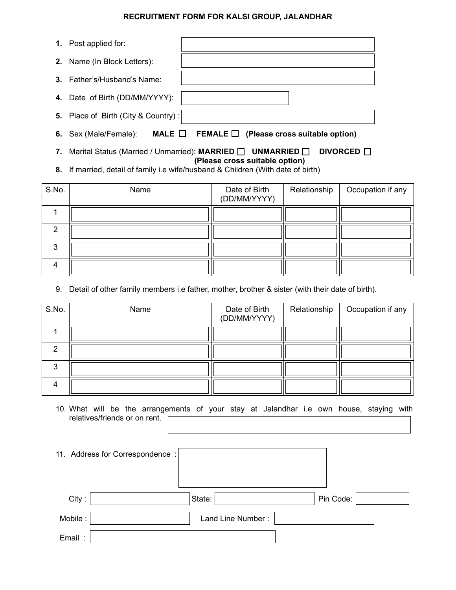## **RECRUITMENT FORM FOR KALSI GROUP, JALANDHAR**

| $\mathbf{1}$ . | Post applied for:                                       |                                |
|----------------|---------------------------------------------------------|--------------------------------|
|                | 2. Name (In Block Letters):                             |                                |
|                | <b>3.</b> Father's/Husband's Name:                      |                                |
|                | 4. Date of Birth (DD/MM/YYYY):                          |                                |
|                | 5. Place of Birth (City & Country):                     |                                |
| 6.             | MALE $\sqcup$<br>FEMALE $\square$<br>Sex (Male/Female): | (Please cross suitable option) |

- **7.** Marital Status (Married / Unmarried): MARRIED □ UNMARRIED □ DIVORCED □ **(Please cross suitable option)**
- **8.** If married, detail of family i.e wife/husband & Children (With date of birth)

| S.No. | Name | Date of Birth<br>(DD/MM/YYYY) | Relationship | Occupation if any |
|-------|------|-------------------------------|--------------|-------------------|
|       |      |                               |              |                   |
| ◠     |      |                               |              |                   |
| 3     |      |                               |              |                   |
| 4     |      |                               |              |                   |

9. Detail of other family members i.e father, mother, brother & sister (with their date of birth).

| S.No.  | Name | Date of Birth<br>(DD/MM/YYYY) | Relationship | Occupation if any |
|--------|------|-------------------------------|--------------|-------------------|
|        |      |                               |              |                   |
| ◠      |      |                               |              |                   |
| ◠<br>J |      |                               |              |                   |
| 4      |      |                               |              |                   |

10. What will be the arrangements of your stay at Jalandhar i.e own house, staying with relatives/friends or on rent.

|         | 11. Address for Correspondence: |        |                   |           |  |
|---------|---------------------------------|--------|-------------------|-----------|--|
| City:   |                                 | State: |                   | Pin Code: |  |
| Mobile: |                                 |        | Land Line Number: |           |  |
| Email:  |                                 |        |                   |           |  |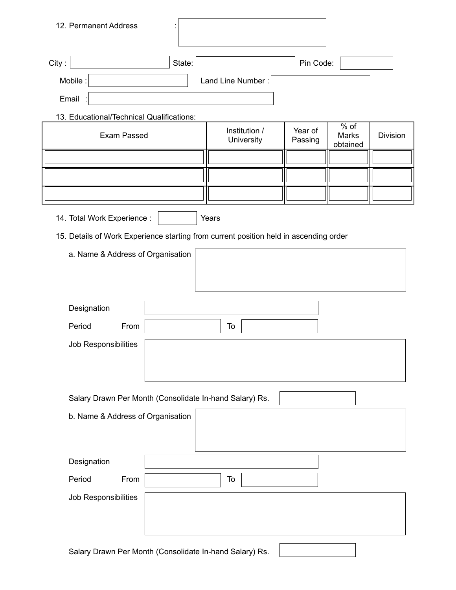| 12. Permanent Address                                                                 |        |                             |                    |                                    |                 |
|---------------------------------------------------------------------------------------|--------|-----------------------------|--------------------|------------------------------------|-----------------|
| City:                                                                                 | State: |                             | Pin Code:          |                                    |                 |
| Mobile:                                                                               |        | Land Line Number:           |                    |                                    |                 |
| Email                                                                                 |        |                             |                    |                                    |                 |
| 13. Educational/Technical Qualifications:                                             |        |                             |                    |                                    |                 |
| <b>Exam Passed</b>                                                                    |        | Institution /<br>University | Year of<br>Passing | $\sqrt{9}$ of<br>Marks<br>obtained | <b>Division</b> |
|                                                                                       |        |                             |                    |                                    |                 |
|                                                                                       |        |                             |                    |                                    |                 |
|                                                                                       |        |                             |                    |                                    |                 |
| 14. Total Work Experience :                                                           |        | Years                       |                    |                                    |                 |
| 15. Details of Work Experience starting from current position held in ascending order |        |                             |                    |                                    |                 |
| a. Name & Address of Organisation                                                     |        |                             |                    |                                    |                 |
| Designation                                                                           |        |                             |                    |                                    |                 |
| Period<br>From                                                                        |        | To                          |                    |                                    |                 |
| Job Responsibilities                                                                  |        |                             |                    |                                    |                 |
| Salary Drawn Per Month (Consolidate In-hand Salary) Rs.                               |        |                             |                    |                                    |                 |
| b. Name & Address of Organisation                                                     |        |                             |                    |                                    |                 |
| Designation                                                                           |        |                             |                    |                                    |                 |
| Period<br>From                                                                        |        | To                          |                    |                                    |                 |
| Job Responsibilities                                                                  |        |                             |                    |                                    |                 |
| Salary Drawn Per Month (Consolidate In-hand Salary) Rs.                               |        |                             |                    |                                    |                 |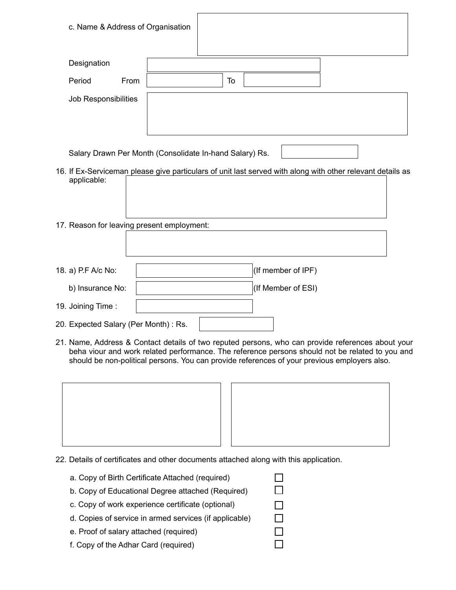| c. Name & Address of Organisation          |                                                                                                            |  |
|--------------------------------------------|------------------------------------------------------------------------------------------------------------|--|
| Designation<br>Period<br>From              | To                                                                                                         |  |
| Job Responsibilities                       |                                                                                                            |  |
|                                            | Salary Drawn Per Month (Consolidate In-hand Salary) Rs.                                                    |  |
| applicable:                                | 16. If Ex-Serviceman please give particulars of unit last served with along with other relevant details as |  |
| 17. Reason for leaving present employment: |                                                                                                            |  |
| 18. a) P.F A/c No:                         | (If member of IPF)                                                                                         |  |
| b) Insurance No:                           | (If Member of ESI)                                                                                         |  |
| 19. Joining Time:                          |                                                                                                            |  |
| 20. Expected Salary (Per Month) : Rs.      |                                                                                                            |  |

21. Name, Address & Contact details of two reputed persons, who can provide references about your beha viour and work related performance. The reference persons should not be related to you and should be non-political persons. You can provide references of your previous employers also.

> $\Box$  $\Box$

 $\Box$  $\Box$  $\Box$ П



- 22. Details of certificates and other documents attached along with this application.
	- a. Copy of Birth Certificate Attached (required)
	- b. Copy of Educational Degree attached (Required)
	- c. Copy of work experience certificate (optional)
	- d. Copies of service in armed services (if applicable)
	- e. Proof of salary attached (required)
	- f. Copy of the Adhar Card (required)